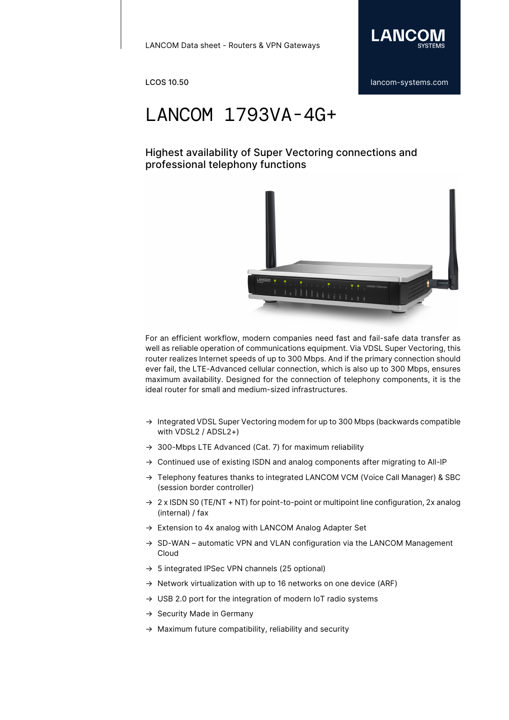

## LANCOM 1793VA-4G+

### Highest availability of Super Vectoring connections and professional telephony functions



For an efficient workflow, modern companies need fast and fail-safe data transfer as well as reliable operation of communications equipment. Via VDSL Super Vectoring, this router realizes Internet speeds of up to 300 Mbps. And if the primary connection should ever fail, the LTE-Advanced cellular connection, which is also up to 300 Mbps, ensures maximum availability. Designed for the connection of telephony components, it is the ideal router for small and medium-sized infrastructures.

- $\rightarrow$  Integrated VDSL Super Vectoring modem for up to 300 Mbps (backwards compatible with VDSL2 / ADSL2+)
- → 300-Mbps LTE Advanced (Cat. 7) for maximum reliability
- → Continued use of existing ISDN and analog components after migrating to All-IP
- → Telephony features thanks to integrated LANCOM VCM (Voice Call Manager) & SBC (session border controller)
- $\rightarrow$  2 x ISDN S0 (TE/NT + NT) for point-to-point or multipoint line configuration, 2x analog (internal) / fax
- → Extension to 4x analog with LANCOM Analog Adapter Set
- → SD-WAN automatic VPN and VLAN configuration via the LANCOM Management Cloud
- $\rightarrow$  5 integrated IPSec VPN channels (25 optional)
- $\rightarrow$  Network virtualization with up to 16 networks on one device (ARF)
- → USB 2.0 port for the integration of modern IoT radio systems
- $\rightarrow$  Security Made in Germany
- $\rightarrow$  Maximum future compatibility, reliability and security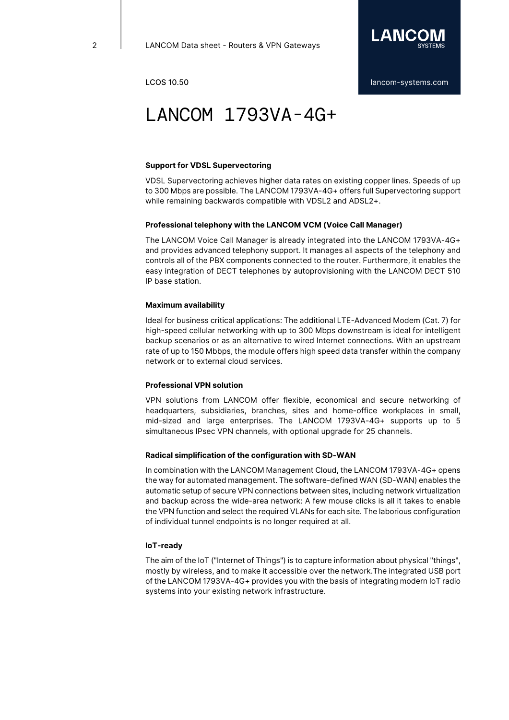

## LANCOM 1793VA-4G+

### **Support for VDSL Supervectoring**

VDSL Supervectoring achieves higher data rates on existing copper lines. Speeds of up to 300 Mbps are possible. The LANCOM 1793VA-4G+ offers full Supervectoring support while remaining backwards compatible with VDSL2 and ADSL2+.

### **Professional telephony with the LANCOM VCM (Voice Call Manager)**

The LANCOM Voice Call Manager is already integrated into the LANCOM 1793VA-4G+ and provides advanced telephony support. It manages all aspects of the telephony and controls all of the PBX components connected to the router. Furthermore, it enables the easy integration of DECT telephones by autoprovisioning with the LANCOM DECT 510 IP base station.

### **Maximum availability**

Ideal for business critical applications: The additional LTE-Advanced Modem (Cat. 7) for high-speed cellular networking with up to 300 Mbps downstream is ideal for intelligent backup scenarios or as an alternative to wired Internet connections. With an upstream rate of up to 150 Mbbps, the module offers high speed data transfer within the company network or to external cloud services.

### **Professional VPN solution**

VPN solutions from LANCOM offer flexible, economical and secure networking of headquarters, subsidiaries, branches, sites and home-office workplaces in small, mid-sized and large enterprises. The LANCOM 1793VA-4G+ supports up to 5 simultaneous IPsec VPN channels, with optional upgrade for 25 channels.

### **Radical simplification of the configuration with SD-WAN**

In combination with the LANCOM Management Cloud, the LANCOM 1793VA-4G+ opens the way for automated management. The software-defined WAN (SD-WAN) enables the automatic setup of secure VPN connections between sites, including network virtualization and backup across the wide-area network: A few mouse clicks is all it takes to enable the VPN function and select the required VLANs for each site. The laborious configuration of individual tunnel endpoints is no longer required at all.

### **IoT-ready**

The aim of the IoT ("Internet of Things") is to capture information about physical "things", mostly by wireless, and to make it accessible over the network.The integrated USB port of the LANCOM 1793VA-4G+ provides you with the basis of integrating modern IoT radio systems into your existing network infrastructure.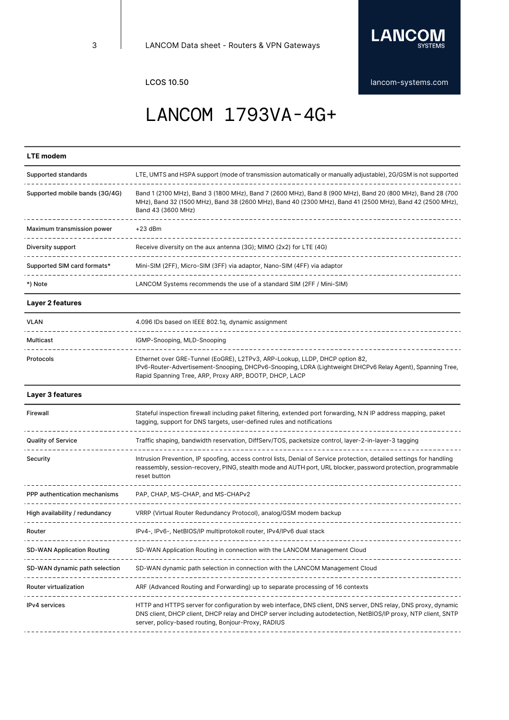

# LANCOM 1793VA-4G+

### **LTE modem**

| Supported standards                     | LTE, UMTS and HSPA support (mode of transmission automatically or manually adjustable), 2G/GSM is not supported                                                                                                                                                                                                 |
|-----------------------------------------|-----------------------------------------------------------------------------------------------------------------------------------------------------------------------------------------------------------------------------------------------------------------------------------------------------------------|
| Supported mobile bands (3G/4G)          | Band 1 (2100 MHz), Band 3 (1800 MHz), Band 7 (2600 MHz), Band 8 (900 MHz), Band 20 (800 MHz), Band 28 (700<br>MHz), Band 32 (1500 MHz), Band 38 (2600 MHz), Band 40 (2300 MHz), Band 41 (2500 MHz), Band 42 (2500 MHz),<br>Band 43 (3600 MHz)                                                                   |
| Maximum transmission power              | $+23$ dBm                                                                                                                                                                                                                                                                                                       |
| Diversity support                       | Receive diversity on the aux antenna (3G); MIMO (2x2) for LTE (4G)                                                                                                                                                                                                                                              |
| Supported SIM card formats*             | Mini-SIM (2FF), Micro-SIM (3FF) via adaptor, Nano-SIM (4FF) via adaptor                                                                                                                                                                                                                                         |
| *) Note                                 | LANCOM Systems recommends the use of a standard SIM (2FF / Mini-SIM)                                                                                                                                                                                                                                            |
| Layer 2 features                        |                                                                                                                                                                                                                                                                                                                 |
| <b>VLAN</b>                             | 4.096 IDs based on IEEE 802.1q, dynamic assignment                                                                                                                                                                                                                                                              |
| Multicast                               | IGMP-Snooping, MLD-Snooping                                                                                                                                                                                                                                                                                     |
| Protocols                               | Ethernet over GRE-Tunnel (EoGRE), L2TPv3, ARP-Lookup, LLDP, DHCP option 82,<br>IPv6-Router-Advertisement-Snooping, DHCPv6-Snooping, LDRA (Lightweight DHCPv6 Relay Agent), Spanning Tree,<br>Rapid Spanning Tree, ARP, Proxy ARP, BOOTP, DHCP, LACP                                                             |
| Layer 3 features                        |                                                                                                                                                                                                                                                                                                                 |
| Firewall                                | Stateful inspection firewall including paket filtering, extended port forwarding, N:N IP address mapping, paket<br>tagging, support for DNS targets, user-defined rules and notifications                                                                                                                       |
| <b>Quality of Service</b>               | Traffic shaping, bandwidth reservation, DiffServ/TOS, packetsize control, layer-2-in-layer-3 tagging                                                                                                                                                                                                            |
| Security                                | Intrusion Prevention, IP spoofing, access control lists, Denial of Service protection, detailed settings for handling<br>reassembly, session-recovery, PING, stealth mode and AUTH port, URL blocker, password protection, programmable<br>reset button                                                         |
| PPP authentication mechanisms           | PAP, CHAP, MS-CHAP, and MS-CHAPv2                                                                                                                                                                                                                                                                               |
| High availability / redundancy          | VRRP (Virtual Router Redundancy Protocol), analog/GSM modem backup                                                                                                                                                                                                                                              |
| Router                                  | IPv4-, IPv6-, NetBIOS/IP multiprotokoll router, IPv4/IPv6 dual stack                                                                                                                                                                                                                                            |
| <b>SD-WAN Application Routing</b>       | SD-WAN Application Routing in connection with the LANCOM Management Cloud                                                                                                                                                                                                                                       |
| SD-WAN dynamic path selection           | SD-WAN dynamic path selection in connection with the LANCOM Management Cloud                                                                                                                                                                                                                                    |
| Router virtualization<br>______________ | ARF (Advanced Routing and Forwarding) up to separate processing of 16 contexts                                                                                                                                                                                                                                  |
| <b>IPv4</b> services                    | HTTP and HTTPS server for configuration by web interface, DNS client, DNS server, DNS relay, DNS proxy, dynamic<br>DNS client, DHCP client, DHCP relay and DHCP server including autodetection, NetBIOS/IP proxy, NTP client, SNTP<br>server, policy-based routing, Bonjour-Proxy, RADIUS<br>------------------ |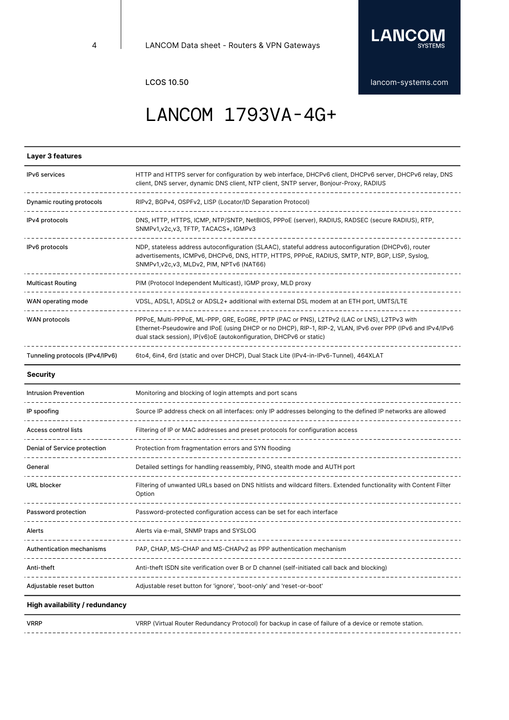

## LANCOM 1793VA-4G+

### **Layer 3 features**

| <b>IPv6</b> services            | HTTP and HTTPS server for configuration by web interface, DHCPv6 client, DHCPv6 server, DHCPv6 relay, DNS<br>client, DNS server, dynamic DNS client, NTP client, SNTP server, Bonjour-Proxy, RADIUS                                                                                 |
|---------------------------------|-------------------------------------------------------------------------------------------------------------------------------------------------------------------------------------------------------------------------------------------------------------------------------------|
| Dynamic routing protocols       | RIPv2, BGPv4, OSPFv2, LISP (Locator/ID Separation Protocol)                                                                                                                                                                                                                         |
| IPv4 protocols                  | DNS, HTTP, HTTPS, ICMP, NTP/SNTP, NetBIOS, PPPoE (server), RADIUS, RADSEC (secure RADIUS), RTP,<br>SNMPv1, v2c, v3, TFTP, TACACS+, IGMPv3                                                                                                                                           |
| IPv6 protocols                  | NDP, stateless address autoconfiguration (SLAAC), stateful address autoconfiguration (DHCPv6), router<br>advertisements, ICMPv6, DHCPv6, DNS, HTTP, HTTPS, PPPoE, RADIUS, SMTP, NTP, BGP, LISP, Syslog,<br>SNMPv1, v2c, v3, MLDv2, PIM, NPTv6 (NAT66)                               |
| <b>Multicast Routing</b>        | PIM (Protocol Independent Multicast), IGMP proxy, MLD proxy                                                                                                                                                                                                                         |
| WAN operating mode              | VDSL, ADSL1, ADSL2 or ADSL2+ additional with external DSL modem at an ETH port, UMTS/LTE                                                                                                                                                                                            |
| <b>WAN protocols</b>            | PPPoE, Multi-PPPoE, ML-PPP, GRE, EoGRE, PPTP (PAC or PNS), L2TPv2 (LAC or LNS), L2TPv3 with<br>Ethernet-Pseudowire and IPoE (using DHCP or no DHCP), RIP-1, RIP-2, VLAN, IPv6 over PPP (IPv6 and IPv4/IPv6<br>dual stack session), IP(v6) o E (autokonfiguration, DHCPv6 or static) |
| Tunneling protocols (IPv4/IPv6) | 6to4, 6in4, 6rd (static and over DHCP), Dual Stack Lite (IPv4-in-IPv6-Tunnel), 464XLAT                                                                                                                                                                                              |

### **Security**

| <b>Intrusion Prevention</b>  | Monitoring and blocking of login attempts and port scans                                                                    |
|------------------------------|-----------------------------------------------------------------------------------------------------------------------------|
| IP spoofing                  | Source IP address check on all interfaces: only IP addresses belonging to the defined IP networks are allowed               |
| <b>Access control lists</b>  | Filtering of IP or MAC addresses and preset protocols for configuration access                                              |
| Denial of Service protection | Protection from fragmentation errors and SYN flooding                                                                       |
| General                      | Detailed settings for handling reassembly, PING, stealth mode and AUTH port                                                 |
| URL blocker                  | Filtering of unwanted URLs based on DNS hitlists and wildcard filters. Extended functionality with Content Filter<br>Option |
| Password protection          | Password-protected configuration access can be set for each interface                                                       |
| Alerts                       | Alerts via e-mail, SNMP traps and SYSLOG                                                                                    |
| Authentication mechanisms    | PAP, CHAP, MS-CHAP and MS-CHAPv2 as PPP authentication mechanism                                                            |
| Anti-theft                   | Anti-theft ISDN site verification over B or D channel (self-initiated call back and blocking)                               |
| Adjustable reset button      | Adjustable reset button for 'ignore', 'boot-only' and 'reset-or-boot'                                                       |

### **High availability / redundancy**

 $1 - 1 - 1 - 1 - 1$ 

VRRP VRRP (Virtual Router Redundancy Protocol) for backup in case of failure of a device or remote station.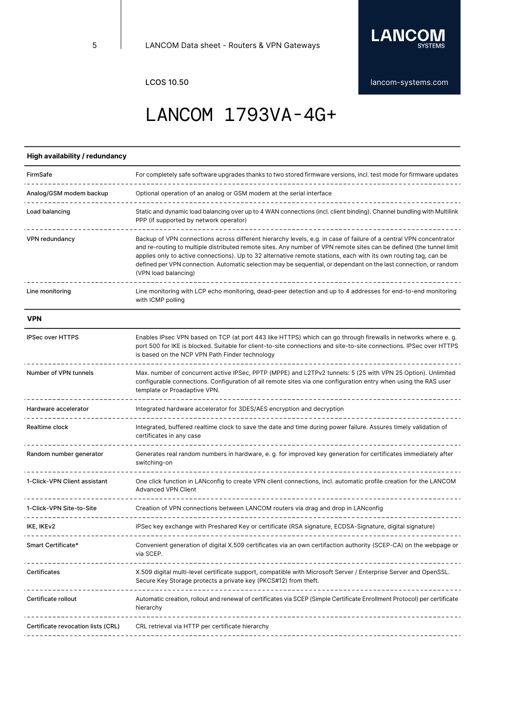

## LANCOM 1793VA-4G+

### **High availability / redundancy**

| FirmSafe                           | For completely safe software upgrades thanks to two stored firmware versions, incl. test mode for firmware updates                                                                                                                                                                                                                                                                                                                                                                                          |
|------------------------------------|-------------------------------------------------------------------------------------------------------------------------------------------------------------------------------------------------------------------------------------------------------------------------------------------------------------------------------------------------------------------------------------------------------------------------------------------------------------------------------------------------------------|
| Analog/GSM modem backup            | Optional operation of an analog or GSM modem at the serial interface                                                                                                                                                                                                                                                                                                                                                                                                                                        |
| Load balancing                     | Static and dynamic load balancing over up to 4 WAN connections (incl. client binding). Channel bundling with Multilink<br>PPP (if supported by network operator)                                                                                                                                                                                                                                                                                                                                            |
| VPN redundancy                     | Backup of VPN connections across different hierarchy levels, e.g. in case of failure of a central VPN concentrator<br>and re-routing to multiple distributed remote sites. Any number of VPN remote sites can be defined (the tunnel limit<br>applies only to active connections). Up to 32 alternative remote stations, each with its own routing tag, can be<br>defined per VPN connection. Automatic selection may be sequential, or dependant on the last connection, or random<br>(VPN load balancing) |
| Line monitoring                    | Line monitoring with LCP echo monitoring, dead-peer detection and up to 4 addresses for end-to-end monitoring<br>with ICMP polling                                                                                                                                                                                                                                                                                                                                                                          |
| <b>VPN</b>                         |                                                                                                                                                                                                                                                                                                                                                                                                                                                                                                             |
| <b>IPSec over HTTPS</b>            | Enables IPsec VPN based on TCP (at port 443 like HTTPS) which can go through firewalls in networks where e.g.<br>port 500 for IKE is blocked. Suitable for client-to-site connections and site-to-site connections. IPSec over HTTPS<br>is based on the NCP VPN Path Finder technology                                                                                                                                                                                                                      |
| Number of VPN tunnels              | Max. number of concurrent active IPSec, PPTP (MPPE) and L2TPv2 tunnels: 5 (25 with VPN 25 Option). Unlimited<br>configurable connections. Configuration of all remote sites via one configuration entry when using the RAS user<br>template or Proadaptive VPN.                                                                                                                                                                                                                                             |
| Hardware accelerator               | Integrated hardware accelerator for 3DES/AES encryption and decryption                                                                                                                                                                                                                                                                                                                                                                                                                                      |
| Realtime clock                     | Integrated, buffered realtime clock to save the date and time during power failure. Assures timely validation of<br>certificates in any case                                                                                                                                                                                                                                                                                                                                                                |
| Random number generator            | Generates real random numbers in hardware, e. g. for improved key generation for certificates immediately after<br>switching-on                                                                                                                                                                                                                                                                                                                                                                             |
| 1-Click-VPN Client assistant       | One click function in LANconfig to create VPN client connections, incl. automatic profile creation for the LANCOM<br><b>Advanced VPN Client</b>                                                                                                                                                                                                                                                                                                                                                             |
| 1-Click-VPN Site-to-Site           | Creation of VPN connections between LANCOM routers via drag and drop in LANconfig                                                                                                                                                                                                                                                                                                                                                                                                                           |
| IKE, IKEv2                         | IPSec key exchange with Preshared Key or certificate (RSA signature, ECDSA-Signature, digital signature)                                                                                                                                                                                                                                                                                                                                                                                                    |
| Smart Certificate*                 | Convenient generation of digital X.509 certificates via an own certifaction authority (SCEP-CA) on the webpage or<br>via SCEP.                                                                                                                                                                                                                                                                                                                                                                              |
| Certificates                       | X.509 digital multi-level certificate support, compatible with Microsoft Server / Enterprise Server and OpenSSL.<br>Secure Key Storage protects a private key (PKCS#12) from theft.                                                                                                                                                                                                                                                                                                                         |
| Certificate rollout                | Automatic creation, rollout and renewal of certificates via SCEP (Simple Certificate Enrollment Protocol) per certificate<br>hierarchy                                                                                                                                                                                                                                                                                                                                                                      |
| Certificate revocation lists (CRL) | CRL retrieval via HTTP per certificate hierarchy                                                                                                                                                                                                                                                                                                                                                                                                                                                            |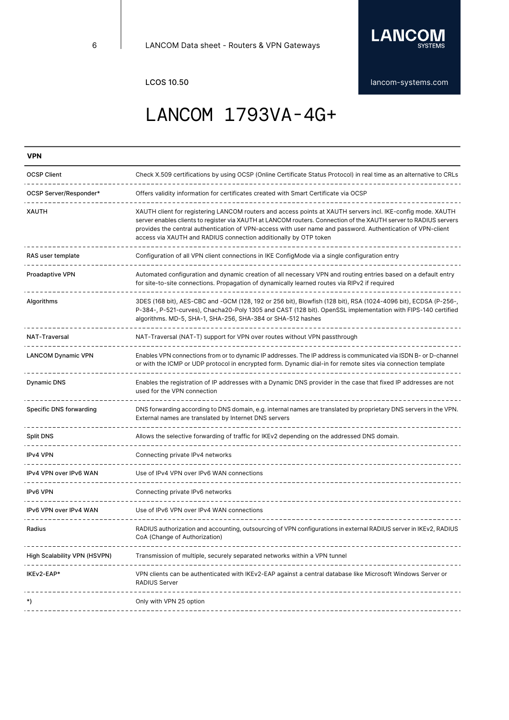

# LANCOM 1793VA-4G+

| <b>VPN</b>                   |                                                                                                                                                                                                                                                                                                                                                                                                                    |
|------------------------------|--------------------------------------------------------------------------------------------------------------------------------------------------------------------------------------------------------------------------------------------------------------------------------------------------------------------------------------------------------------------------------------------------------------------|
| <b>OCSP Client</b>           | Check X.509 certifications by using OCSP (Online Certificate Status Protocol) in real time as an alternative to CRLs                                                                                                                                                                                                                                                                                               |
| OCSP Server/Responder*       | Offers validity information for certificates created with Smart Certificate via OCSP                                                                                                                                                                                                                                                                                                                               |
| <b>XAUTH</b>                 | XAUTH client for registering LANCOM routers and access points at XAUTH servers incl. IKE-config mode. XAUTH<br>server enables clients to register via XAUTH at LANCOM routers. Connection of the XAUTH server to RADIUS servers<br>provides the central authentication of VPN-access with user name and password. Authentication of VPN-client<br>access via XAUTH and RADIUS connection additionally by OTP token |
| RAS user template            | Configuration of all VPN client connections in IKE ConfigMode via a single configuration entry                                                                                                                                                                                                                                                                                                                     |
| <b>Proadaptive VPN</b>       | Automated configuration and dynamic creation of all necessary VPN and routing entries based on a default entry<br>for site-to-site connections. Propagation of dynamically learned routes via RIPv2 if required                                                                                                                                                                                                    |
| Algorithms                   | 3DES (168 bit), AES-CBC and -GCM (128, 192 or 256 bit), Blowfish (128 bit), RSA (1024-4096 bit), ECDSA (P-256-,<br>P-384-, P-521-curves), Chacha20-Poly 1305 and CAST (128 bit). OpenSSL implementation with FIPS-140 certified<br>algorithms. MD-5, SHA-1, SHA-256, SHA-384 or SHA-512 hashes                                                                                                                     |
| <b>NAT-Traversal</b>         | NAT-Traversal (NAT-T) support for VPN over routes without VPN passthrough                                                                                                                                                                                                                                                                                                                                          |
| <b>LANCOM Dynamic VPN</b>    | Enables VPN connections from or to dynamic IP addresses. The IP address is communicated via ISDN B- or D-channel<br>or with the ICMP or UDP protocol in encrypted form. Dynamic dial-in for remote sites via connection template                                                                                                                                                                                   |
| <b>Dynamic DNS</b>           | Enables the registration of IP addresses with a Dynamic DNS provider in the case that fixed IP addresses are not<br>used for the VPN connection                                                                                                                                                                                                                                                                    |
| Specific DNS forwarding      | DNS forwarding according to DNS domain, e.g. internal names are translated by proprietary DNS servers in the VPN.<br>External names are translated by Internet DNS servers                                                                                                                                                                                                                                         |
| <b>Split DNS</b>             | Allows the selective forwarding of traffic for IKEv2 depending on the addressed DNS domain.                                                                                                                                                                                                                                                                                                                        |
| <b>IPv4 VPN</b>              | Connecting private IPv4 networks                                                                                                                                                                                                                                                                                                                                                                                   |
| IPv4 VPN over IPv6 WAN       | Use of IPv4 VPN over IPv6 WAN connections                                                                                                                                                                                                                                                                                                                                                                          |
| <b>IPv6 VPN</b>              | Connecting private IPv6 networks                                                                                                                                                                                                                                                                                                                                                                                   |
| IPv6 VPN over IPv4 WAN       | Use of IPv6 VPN over IPv4 WAN connections                                                                                                                                                                                                                                                                                                                                                                          |
| Radius                       | RADIUS authorization and accounting, outsourcing of VPN configurations in external RADIUS server in IKEv2, RADIUS<br>CoA (Change of Authorization)                                                                                                                                                                                                                                                                 |
| High Scalability VPN (HSVPN) | Transmission of multiple, securely separated networks within a VPN tunnel                                                                                                                                                                                                                                                                                                                                          |
| IKEv2-EAP*                   | VPN clients can be authenticated with IKEv2-EAP against a central database like Microsoft Windows Server or<br><b>RADIUS Server</b>                                                                                                                                                                                                                                                                                |
| *)                           | Only with VPN 25 option                                                                                                                                                                                                                                                                                                                                                                                            |
|                              |                                                                                                                                                                                                                                                                                                                                                                                                                    |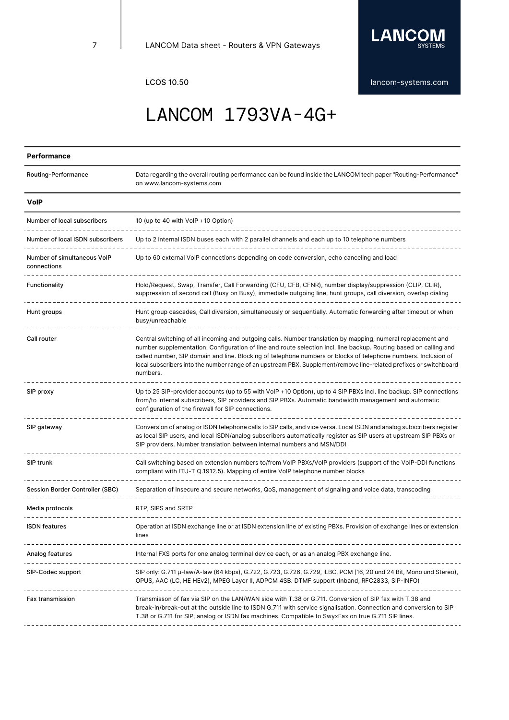

# LANCOM 1793VA-4G+

### **Performance**

| Routing-Performance                        | Data regarding the overall routing performance can be found inside the LANCOM tech paper "Routing-Performance"<br>on www.lancom-systems.com                                                                                                                                                                                                                                                                                                                                           |
|--------------------------------------------|---------------------------------------------------------------------------------------------------------------------------------------------------------------------------------------------------------------------------------------------------------------------------------------------------------------------------------------------------------------------------------------------------------------------------------------------------------------------------------------|
| <b>VolP</b>                                |                                                                                                                                                                                                                                                                                                                                                                                                                                                                                       |
| Number of local subscribers                | 10 (up to 40 with VoIP +10 Option)                                                                                                                                                                                                                                                                                                                                                                                                                                                    |
| Number of local ISDN subscribers           | Up to 2 internal ISDN buses each with 2 parallel channels and each up to 10 telephone numbers                                                                                                                                                                                                                                                                                                                                                                                         |
| Number of simultaneous VolP<br>connections | Up to 60 external VoIP connections depending on code conversion, echo canceling and load                                                                                                                                                                                                                                                                                                                                                                                              |
| Functionality                              | Hold/Request, Swap, Transfer, Call Forwarding (CFU, CFB, CFNR), number display/suppression (CLIP, CLIR),<br>suppression of second call (Busy on Busy), immediate outgoing line, hunt groups, call diversion, overlap dialing                                                                                                                                                                                                                                                          |
| Hunt groups                                | Hunt group cascades, Call diversion, simultaneously or sequentially. Automatic forwarding after timeout or when<br>busy/unreachable                                                                                                                                                                                                                                                                                                                                                   |
| Call router                                | Central switching of all incoming and outgoing calls. Number translation by mapping, numeral replacement and<br>number supplementation. Configuration of line and route selection incl. line backup. Routing based on calling and<br>called number, SIP domain and line. Blocking of telephone numbers or blocks of telephone numbers. Inclusion of<br>local subscribers into the number range of an upstream PBX. Supplement/remove line-related prefixes or switchboard<br>numbers. |
| SIP proxy                                  | Up to 25 SIP-provider accounts (up to 55 with VoIP +10 Option), up to 4 SIP PBXs incl. line backup. SIP connections<br>from/to internal subscribers, SIP providers and SIP PBXs. Automatic bandwidth management and automatic<br>configuration of the firewall for SIP connections.                                                                                                                                                                                                   |
| SIP gateway                                | Conversion of analog or ISDN telephone calls to SIP calls, and vice versa. Local ISDN and analog subscribers register<br>as local SIP users, and local ISDN/analog subscribers automatically register as SIP users at upstream SIP PBXs or<br>SIP providers. Number translation between internal numbers and MSN/DDI                                                                                                                                                                  |
| SIP trunk                                  | Call switching based on extension numbers to/from VoIP PBXs/VoIP providers (support of the VoIP-DDI functions<br>compliant with ITU-T Q.1912.5). Mapping of entire VoIP telephone number blocks                                                                                                                                                                                                                                                                                       |
| Session Border Controller (SBC)            | Separation of insecure and secure networks, QoS, management of signaling and voice data, transcoding                                                                                                                                                                                                                                                                                                                                                                                  |
| Media protocols                            | RTP, SIPS and SRTP                                                                                                                                                                                                                                                                                                                                                                                                                                                                    |
| <b>ISDN</b> features                       | Operation at ISDN exchange line or at ISDN extension line of existing PBXs. Provision of exchange lines or extension<br>lines                                                                                                                                                                                                                                                                                                                                                         |
| Analog features                            | Internal FXS ports for one analog terminal device each, or as an analog PBX exchange line.                                                                                                                                                                                                                                                                                                                                                                                            |
| SIP-Codec support                          | SIP only: G.711 µ-law/A-law (64 kbps), G.722, G.723, G.726, G.729, iLBC, PCM (16, 20 und 24 Bit, Mono und Stereo),<br>OPUS, AAC (LC, HE HEv2), MPEG Layer II, ADPCM 4SB. DTMF support (Inband, RFC2833, SIP-INFO)                                                                                                                                                                                                                                                                     |
| <b>Fax transmission</b>                    | Transmisson of fax via SIP on the LAN/WAN side with T.38 or G.711. Conversion of SIP fax with T.38 and<br>break-in/break-out at the outside line to ISDN G.711 with service signalisation. Connection and conversion to SIP<br>T.38 or G.711 for SIP, analog or ISDN fax machines. Compatible to SwyxFax on true G.711 SIP lines.                                                                                                                                                     |
|                                            |                                                                                                                                                                                                                                                                                                                                                                                                                                                                                       |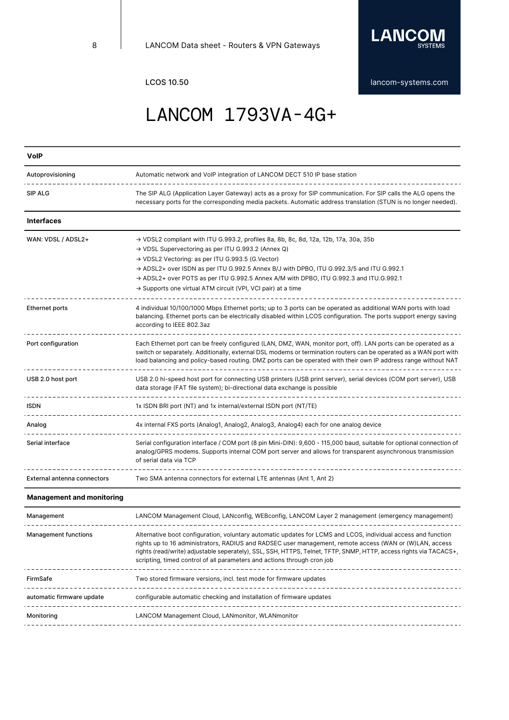\_\_\_\_\_\_\_\_\_\_\_\_\_\_\_\_



LCOS 10.50 **[lancom-systems.com](https://www.lancom-systems.com)** 

\_\_\_\_\_\_\_\_\_\_\_\_\_\_\_\_\_\_\_\_\_\_\_\_\_\_\_\_\_\_\_\_\_\_\_\_\_

# LANCOM 1793VA-4G+

| <b>VolP</b>                      |                                                                                                                                                                                                                                                                                                                                                                                                                                                                                                      |
|----------------------------------|------------------------------------------------------------------------------------------------------------------------------------------------------------------------------------------------------------------------------------------------------------------------------------------------------------------------------------------------------------------------------------------------------------------------------------------------------------------------------------------------------|
| Autoprovisioning                 | Automatic network and VoIP integration of LANCOM DECT 510 IP base station                                                                                                                                                                                                                                                                                                                                                                                                                            |
| SIP ALG                          | The SIP ALG (Application Layer Gateway) acts as a proxy for SIP communication. For SIP calls the ALG opens the<br>necessary ports for the corresponding media packets. Automatic address translation (STUN is no longer needed).                                                                                                                                                                                                                                                                     |
| Interfaces                       |                                                                                                                                                                                                                                                                                                                                                                                                                                                                                                      |
| WAN: VDSL / ADSL2+               | $\rightarrow$ VDSL2 compliant with ITU G.993.2, profiles 8a, 8b, 8c, 8d, 12a, 12b, 17a, 30a, 35b<br>→ VDSL Supervectoring as per ITU G.993.2 (Annex Q)<br>→ VDSL2 Vectoring: as per ITU G.993.5 (G.Vector)<br>$\rightarrow$ ADSL2+ over ISDN as per ITU G.992.5 Annex B/J with DPBO, ITU G.992.3/5 and ITU G.992.1<br>$\rightarrow$ ADSL2+ over POTS as per ITU G.992.5 Annex A/M with DPBO, ITU G.992.3 and ITU.G.992.1<br>$\rightarrow$ Supports one virtual ATM circuit (VPI, VCI pair) at a time |
| <b>Ethernet ports</b>            | 4 individual 10/100/1000 Mbps Ethernet ports; up to 3 ports can be operated as additional WAN ports with load<br>balancing. Ethernet ports can be electrically disabled within LCOS configuration. The ports support energy saving<br>according to IEEE 802.3az                                                                                                                                                                                                                                      |
| Port configuration               | Each Ethernet port can be freely configured (LAN, DMZ, WAN, monitor port, off). LAN ports can be operated as a<br>switch or separately. Additionally, external DSL modems or termination routers can be operated as a WAN port with<br>load balancing and policy-based routing. DMZ ports can be operated with their own IP address range without NAT                                                                                                                                                |
| USB 2.0 host port                | USB 2.0 hi-speed host port for connecting USB printers (USB print server), serial devices (COM port server), USB<br>data storage (FAT file system); bi-directional data exchange is possible                                                                                                                                                                                                                                                                                                         |
| <b>ISDN</b>                      | 1x ISDN BRI port (NT) and 1x internal/external ISDN port (NT/TE)                                                                                                                                                                                                                                                                                                                                                                                                                                     |
| Analog                           | 4x internal FXS ports (Analog1, Analog2, Analog3, Analog4) each for one analog device                                                                                                                                                                                                                                                                                                                                                                                                                |
| Serial interface                 | Serial configuration interface / COM port (8 pin Mini-DIN): 9,600 - 115,000 baud, suitable for optional connection of<br>analog/GPRS modems. Supports internal COM port server and allows for transparent asynchronous transmission<br>of serial data via TCP                                                                                                                                                                                                                                        |
| External antenna connectors      | Two SMA antenna connectors for external LTE antennas (Ant 1, Ant 2)                                                                                                                                                                                                                                                                                                                                                                                                                                  |
| <b>Management and monitoring</b> |                                                                                                                                                                                                                                                                                                                                                                                                                                                                                                      |
| Management                       | LANCOM Management Cloud, LANconfig, WEBconfig, LANCOM Layer 2 management (emergency management)                                                                                                                                                                                                                                                                                                                                                                                                      |
| <b>Management functions</b>      | Alternative boot configuration, voluntary automatic updates for LCMS and LCOS, individual access and function<br>rights up to 16 administrators, RADIUS and RADSEC user management, remote access (WAN or (W)LAN, access<br>rights (read/write) adjustable seperately), SSL, SSH, HTTPS, Telnet, TFTP, SNMP, HTTP, access rights via TACACS+,<br>scripting, timed control of all parameters and actions through cron job<br>---------------------------                                              |
| FirmSafe                         | Two stored firmware versions, incl. test mode for firmware updates                                                                                                                                                                                                                                                                                                                                                                                                                                   |
| automatic firmware update        | configurable automatic checking and installation of firmware updates<br>--------------------------<br>------------------------------                                                                                                                                                                                                                                                                                                                                                                 |
| Monitoring                       | LANCOM Management Cloud, LANmonitor, WLANmonitor                                                                                                                                                                                                                                                                                                                                                                                                                                                     |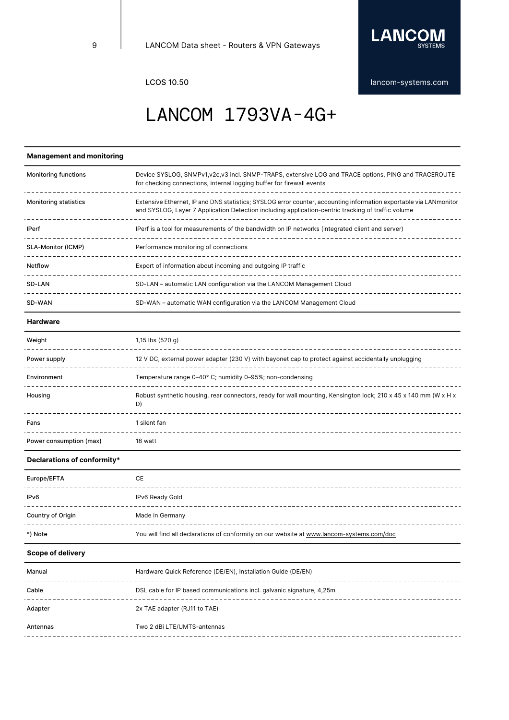

## LANCOM 1793VA-4G+

### **Management and monitoring**

| <b>Monitoring functions</b>  | Device SYSLOG, SNMPv1, v2c, v3 incl. SNMP-TRAPS, extensive LOG and TRACE options, PING and TRACEROUTE<br>for checking connections, internal logging buffer for firewall events                                          |
|------------------------------|-------------------------------------------------------------------------------------------------------------------------------------------------------------------------------------------------------------------------|
| <b>Monitoring statistics</b> | Extensive Ethernet, IP and DNS statistics; SYSLOG error counter, accounting information exportable via LANmonitor<br>and SYSLOG, Layer 7 Application Detection including application-centric tracking of traffic volume |
| <b>IPerf</b>                 | IPerf is a tool for measurements of the bandwidth on IP networks (integrated client and server)                                                                                                                         |
| <b>SLA-Monitor (ICMP)</b>    | Performance monitoring of connections                                                                                                                                                                                   |
| Netflow                      | Export of information about incoming and outgoing IP traffic                                                                                                                                                            |
| SD-LAN                       | SD-LAN – automatic LAN configuration via the LANCOM Management Cloud                                                                                                                                                    |
| SD-WAN                       | SD-WAN – automatic WAN configuration via the LANCOM Management Cloud                                                                                                                                                    |

### **Hardware**

| Weight                  | 1,15 lbs (520 g)                                                                                                      |
|-------------------------|-----------------------------------------------------------------------------------------------------------------------|
| Power supply            | 12 V DC, external power adapter (230 V) with bayonet cap to protect against accidentally unplugging                   |
| Environment             | Temperature range 0-40° C; humidity 0-95%; non-condensing                                                             |
| Housing                 | Robust synthetic housing, rear connectors, ready for wall mounting, Kensington lock; 210 x 45 x 140 mm (W x H x<br>D) |
| Fans                    | I silent fan                                                                                                          |
| Power consumption (max) | 18 watt                                                                                                               |

### **Declarations of conformity\***

| Europe/EFTA       | CE                                                                                        |
|-------------------|-------------------------------------------------------------------------------------------|
| IP <sub>v6</sub>  | IPv6 Ready Gold                                                                           |
| Country of Origin | Made in Germany                                                                           |
| *) Note           | You will find all declarations of conformity on our website at www.lancom-systems.com/doc |

### **Scope of delivery**

| Manual   | Hardware Quick Reference (DE/EN), Installation Guide (DE/EN)          |
|----------|-----------------------------------------------------------------------|
| Cable    | DSL cable for IP based communications incl. galvanic signature, 4,25m |
| Adapter  | 2x TAE adapter (RJ11 to TAE)                                          |
| Antennas | Two 2 dBi LTE/UMTS-antennas                                           |
|          |                                                                       |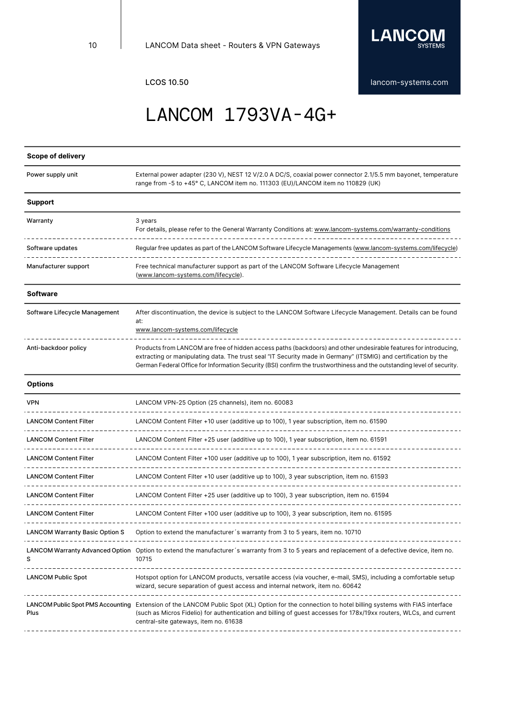

# LANCOM 1793VA-4G+

### **Scope of delivery**

| Power supply unit                                   | External power adapter (230 V), NEST 12 V/2.0 A DC/S, coaxial power connector 2.1/5.5 mm bayonet, temperature<br>range from -5 to +45° C, LANCOM item no. 111303 (EU)/LANCOM item no 110829 (UK)                                                                                                                                                               |
|-----------------------------------------------------|----------------------------------------------------------------------------------------------------------------------------------------------------------------------------------------------------------------------------------------------------------------------------------------------------------------------------------------------------------------|
| <b>Support</b>                                      |                                                                                                                                                                                                                                                                                                                                                                |
| Warranty                                            | 3 years<br>For details, please refer to the General Warranty Conditions at: www.lancom-systems.com/warranty-conditions                                                                                                                                                                                                                                         |
| Software updates                                    | Regular free updates as part of the LANCOM Software Lifecycle Managements (www.lancom-systems.com/lifecycle)                                                                                                                                                                                                                                                   |
| Manufacturer support                                | Free technical manufacturer support as part of the LANCOM Software Lifecycle Management<br>(www.lancom-systems.com/lifecycle).                                                                                                                                                                                                                                 |
| <b>Software</b>                                     |                                                                                                                                                                                                                                                                                                                                                                |
| Software Lifecycle Management                       | After discontinuation, the device is subject to the LANCOM Software Lifecycle Management. Details can be found<br>at:<br>www.lancom-systems.com/lifecycle                                                                                                                                                                                                      |
| Anti-backdoor policy                                | Products from LANCOM are free of hidden access paths (backdoors) and other undesirable features for introducing,<br>extracting or manipulating data. The trust seal "IT Security made in Germany" (ITSMIG) and certification by the<br>German Federal Office for Information Security (BSI) confirm the trustworthiness and the outstanding level of security. |
| <b>Options</b>                                      |                                                                                                                                                                                                                                                                                                                                                                |
| <b>VPN</b>                                          | LANCOM VPN-25 Option (25 channels), item no. 60083                                                                                                                                                                                                                                                                                                             |
| <b>LANCOM Content Filter</b>                        | LANCOM Content Filter +10 user (additive up to 100), 1 year subscription, item no. 61590                                                                                                                                                                                                                                                                       |
| <b>LANCOM Content Filter</b>                        | LANCOM Content Filter +25 user (additive up to 100), 1 year subscription, item no. 61591                                                                                                                                                                                                                                                                       |
| <b>LANCOM Content Filter</b>                        | LANCOM Content Filter +100 user (additive up to 100), 1 year subscription, item no. 61592                                                                                                                                                                                                                                                                      |
| <b>LANCOM Content Filter</b><br>___________________ | LANCOM Content Filter +10 user (additive up to 100), 3 year subscription, item no. 61593                                                                                                                                                                                                                                                                       |
| <b>LANCOM Content Filter</b>                        | LANCOM Content Filter +25 user (additive up to 100), 3 year subscription, item no. 61594                                                                                                                                                                                                                                                                       |
| <b>LANCOM Content Filter</b>                        | LANCOM Content Filter +100 user (additive up to 100), 3 year subscription, item no. 61595                                                                                                                                                                                                                                                                      |
| <b>LANCOM Warranty Basic Option S</b>               | Option to extend the manufacturer's warranty from 3 to 5 years, item no. 10710                                                                                                                                                                                                                                                                                 |
| s                                                   | LANCOM Warranty Advanced Option Option to extend the manufacturer's warranty from 3 to 5 years and replacement of a defective device, item no.<br>10715                                                                                                                                                                                                        |
| <b>LANCOM Public Spot</b>                           | Hotspot option for LANCOM products, versatile access (via voucher, e-mail, SMS), including a comfortable setup<br>wizard, secure separation of guest access and internal network, item no. 60642                                                                                                                                                               |
| Plus                                                | LANCOM Public Spot PMS Accounting Extension of the LANCOM Public Spot (XL) Option for the connection to hotel billing systems with FIAS interface<br>(such as Micros Fidelio) for authentication and billing of guest accesses for 178x/19xx routers, WLCs, and current<br>central-site gateways, item no. 61638                                               |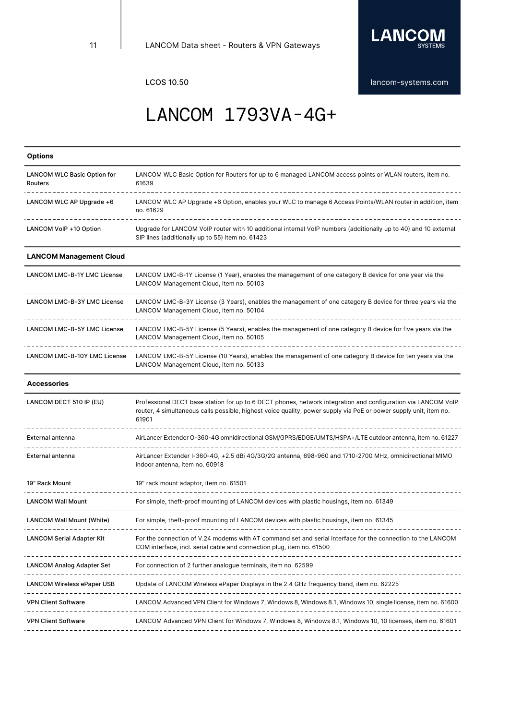

## LANCOM 1793VA-4G+

| <b>Options</b>                                |                                                                                                                                                                                                                                             |
|-----------------------------------------------|---------------------------------------------------------------------------------------------------------------------------------------------------------------------------------------------------------------------------------------------|
| <b>LANCOM WLC Basic Option for</b><br>Routers | LANCOM WLC Basic Option for Routers for up to 6 managed LANCOM access points or WLAN routers, item no.<br>61639                                                                                                                             |
| LANCOM WLC AP Upgrade +6                      | LANCOM WLC AP Upgrade +6 Option, enables your WLC to manage 6 Access Points/WLAN router in addition, item<br>no. 61629                                                                                                                      |
| LANCOM VoIP +10 Option                        | Upgrade for LANCOM VoIP router with 10 additional internal VoIP numbers (additionally up to 40) and 10 external<br>SIP lines (additionally up to 55) item no. 61423                                                                         |
| <b>LANCOM Management Cloud</b>                |                                                                                                                                                                                                                                             |
| LANCOM LMC-B-1Y LMC License                   | LANCOM LMC-B-1Y License (1 Year), enables the management of one category B device for one year via the<br>LANCOM Management Cloud, item no. 50103                                                                                           |
| <b>LANCOM LMC-B-3Y LMC License</b>            | LANCOM LMC-B-3Y License (3 Years), enables the management of one category B device for three years via the<br>LANCOM Management Cloud, item no. 50104                                                                                       |
| <b>LANCOM LMC-B-5Y LMC License</b>            | LANCOM LMC-B-5Y License (5 Years), enables the management of one category B device for five years via the<br>LANCOM Management Cloud, item no. 50105                                                                                        |
| <b>LANCOM LMC-B-10Y LMC License</b>           | LANCOM LMC-B-5Y License (10 Years), enables the management of one category B device for ten years via the<br>LANCOM Management Cloud, item no. 50133                                                                                        |
| <b>Accessories</b>                            |                                                                                                                                                                                                                                             |
| LANCOM DECT 510 IP (EU)                       | Professional DECT base station for up to 6 DECT phones, network integration and configuration via LANCOM VoIP<br>router, 4 simultaneous calls possible, highest voice quality, power supply via PoE or power supply unit, item no.<br>61901 |
| External antenna                              | AirLancer Extender O-360-4G omnidirectional GSM/GPRS/EDGE/UMTS/HSPA+/LTE outdoor antenna, item no. 61227                                                                                                                                    |
| <b>External antenna</b>                       | AirLancer Extender I-360-4G, +2.5 dBi 4G/3G/2G antenna, 698-960 and 1710-2700 MHz, omnidirectional MIMO<br>indoor antenna, item no. 60918                                                                                                   |
| 19" Rack Mount                                | 19" rack mount adaptor, item no. 61501                                                                                                                                                                                                      |
| <b>LANCOM Wall Mount</b>                      | For simple, theft-proof mounting of LANCOM devices with plastic housings, item no. 61349                                                                                                                                                    |
| <b>LANCOM Wall Mount (White)</b>              | For simple, theft-proof mounting of LANCOM devices with plastic housings, item no. 61345                                                                                                                                                    |
| <b>LANCOM Serial Adapter Kit</b>              | For the connection of V.24 modems with AT command set and serial interface for the connection to the LANCOM<br>COM interface, incl. serial cable and connection plug, item no. 61500                                                        |
| <b>LANCOM Analog Adapter Set</b>              | For connection of 2 further analogue terminals, item no. 62599                                                                                                                                                                              |
| LANCOM Wireless ePaper USB                    | Update of LANCOM Wireless ePaper Displays in the 2.4 GHz frequency band, item no. 62225                                                                                                                                                     |
| VPN Client Software                           | LANCOM Advanced VPN Client for Windows 7, Windows 8, Windows 8.1, Windows 10, single license, item no. 61600                                                                                                                                |
| <b>VPN Client Software</b>                    | LANCOM Advanced VPN Client for Windows 7, Windows 8, Windows 8.1, Windows 10, 10 licenses, item no. 61601                                                                                                                                   |
| --------------                                |                                                                                                                                                                                                                                             |